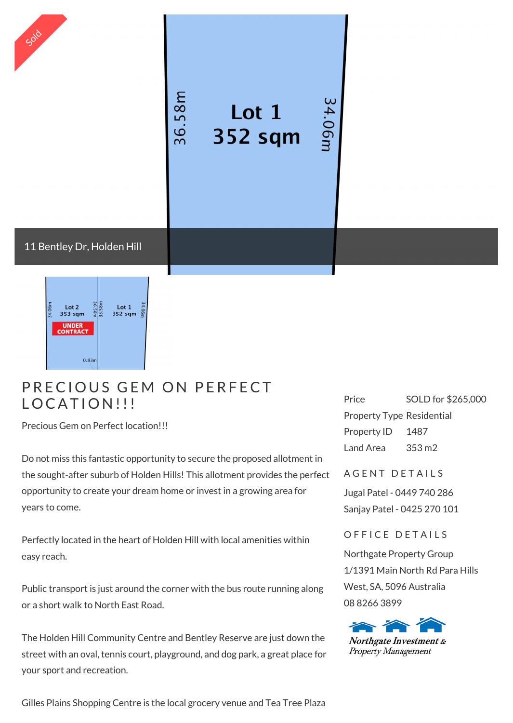

## **Example 12**<br>P R E C I O U S G E M O N P E R F E C T PRECIOUS GEM<br>LOCATION!!!

Precious Gem on Perfect location!!!

Do not miss this fantastic opportunity to secure the proposed allotment in the sought-after suburb of Holden Hills! This allotment provides the perfect opportunity to create your dream home or invest in a growing area for years to come.

Perfectly located in the heart of Holden Hill with local amenities within easy reach.

Public transport is just around the corner with the bus route running along or a short walk to North East Road.

The Holden Hill Community Centre and Bentley Reserve are just down the street with an oval, tennis court, playground, and dog park, a great place for your sport and recreation.

Gilles Plains Shopping Centre is the local grocery venue and Tea Tree Plaza

Price SOLD for \$265,000 Property Type Residential Property ID 1487 Land Area 353 m2

A GENT DETAILS

Jugal Patel - 0449 740 286 Sanjay Patel - 0425 270 101

OFFICE DETAILS

Northgate Property Group 1/1391 Main North Rd Para Hills West, SA, 5096 Australia 08 8266 3899